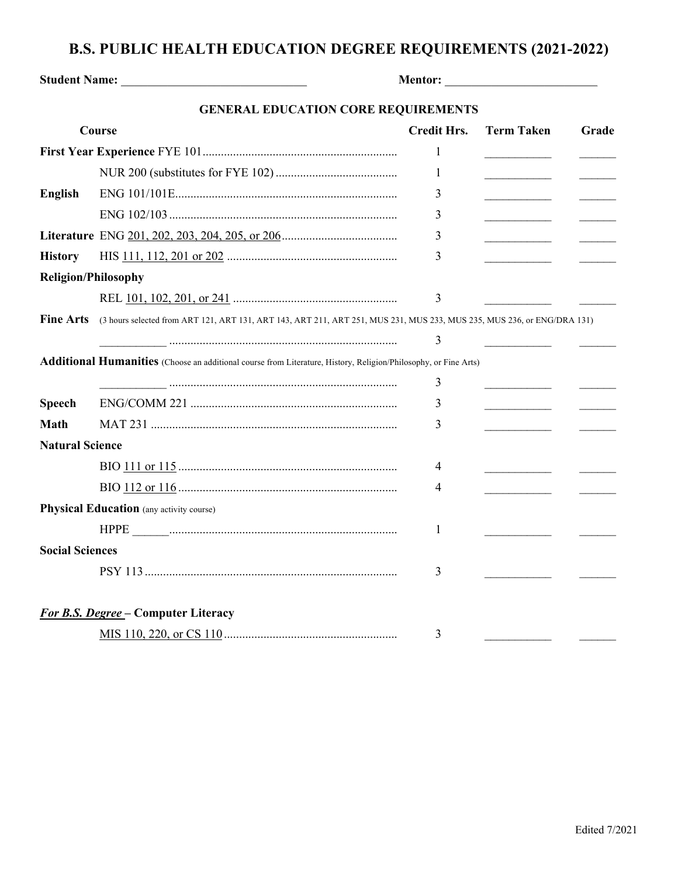## **B.S. PUBLIC HEALTH EDUCATION DEGREE REQUIREMENTS (2021-2022)**

| Student Name: Name and Student Name and Student Name and Student Name and Student Research of the Student Student Student Student Student Student Student Student Student Student Student Student Student Student Student Stud |                                                                                                                         |                    |                   |       |  |  |  |
|--------------------------------------------------------------------------------------------------------------------------------------------------------------------------------------------------------------------------------|-------------------------------------------------------------------------------------------------------------------------|--------------------|-------------------|-------|--|--|--|
| <b>GENERAL EDUCATION CORE REQUIREMENTS</b>                                                                                                                                                                                     |                                                                                                                         |                    |                   |       |  |  |  |
| <b>Course</b>                                                                                                                                                                                                                  |                                                                                                                         | <b>Credit Hrs.</b> | <b>Term Taken</b> | Grade |  |  |  |
|                                                                                                                                                                                                                                |                                                                                                                         | 1                  |                   |       |  |  |  |
|                                                                                                                                                                                                                                |                                                                                                                         | 1                  |                   |       |  |  |  |
| <b>English</b>                                                                                                                                                                                                                 |                                                                                                                         | 3                  |                   |       |  |  |  |
|                                                                                                                                                                                                                                |                                                                                                                         | 3                  |                   |       |  |  |  |
|                                                                                                                                                                                                                                |                                                                                                                         | 3                  |                   |       |  |  |  |
| <b>History</b>                                                                                                                                                                                                                 |                                                                                                                         | 3                  |                   |       |  |  |  |
| <b>Religion/Philosophy</b>                                                                                                                                                                                                     |                                                                                                                         |                    |                   |       |  |  |  |
|                                                                                                                                                                                                                                |                                                                                                                         | 3                  |                   |       |  |  |  |
| <b>Fine Arts</b>                                                                                                                                                                                                               | (3 hours selected from ART 121, ART 131, ART 143, ART 211, ART 251, MUS 231, MUS 233, MUS 235, MUS 236, or ENG/DRA 131) |                    |                   |       |  |  |  |
|                                                                                                                                                                                                                                |                                                                                                                         | 3                  |                   |       |  |  |  |
|                                                                                                                                                                                                                                | Additional Humanities (Choose an additional course from Literature, History, Religion/Philosophy, or Fine Arts)         |                    |                   |       |  |  |  |
|                                                                                                                                                                                                                                |                                                                                                                         | 3                  |                   |       |  |  |  |
| <b>Speech</b>                                                                                                                                                                                                                  |                                                                                                                         | 3                  |                   |       |  |  |  |
| <b>Math</b>                                                                                                                                                                                                                    |                                                                                                                         | 3                  |                   |       |  |  |  |
| <b>Natural Science</b>                                                                                                                                                                                                         |                                                                                                                         |                    |                   |       |  |  |  |
|                                                                                                                                                                                                                                |                                                                                                                         | 4                  |                   |       |  |  |  |
|                                                                                                                                                                                                                                |                                                                                                                         | 4                  |                   |       |  |  |  |
|                                                                                                                                                                                                                                | <b>Physical Education</b> (any activity course)                                                                         |                    |                   |       |  |  |  |
|                                                                                                                                                                                                                                |                                                                                                                         | 1                  |                   |       |  |  |  |
| <b>Social Sciences</b>                                                                                                                                                                                                         |                                                                                                                         |                    |                   |       |  |  |  |
|                                                                                                                                                                                                                                |                                                                                                                         | 3                  |                   |       |  |  |  |
|                                                                                                                                                                                                                                |                                                                                                                         |                    |                   |       |  |  |  |
|                                                                                                                                                                                                                                | <b>For B.S. Degree – Computer Literacy</b>                                                                              |                    |                   |       |  |  |  |
|                                                                                                                                                                                                                                |                                                                                                                         | 3                  |                   |       |  |  |  |